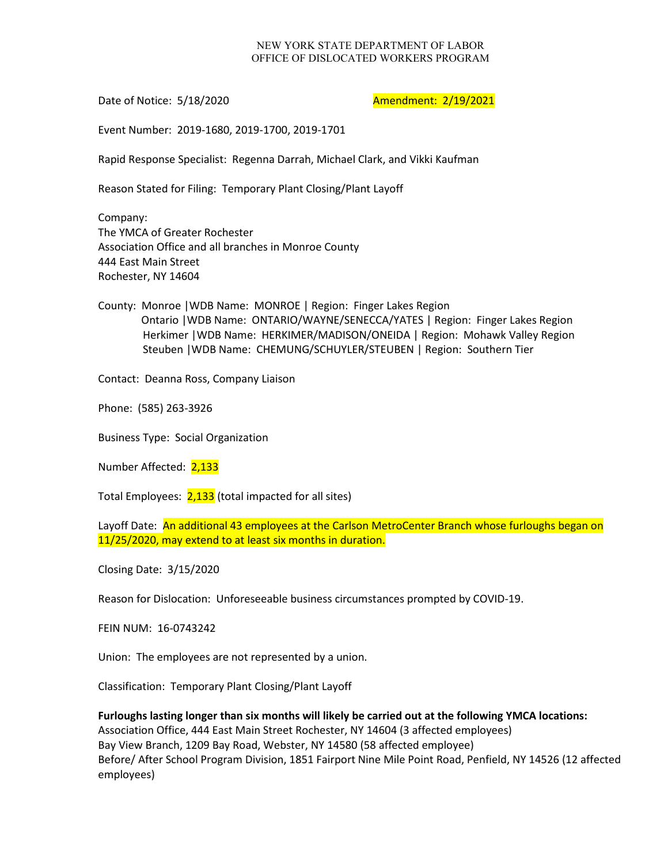## NEW YORK STATE DEPARTMENT OF LABOR OFFICE OF DISLOCATED WORKERS PROGRAM

Date of Notice: 5/18/2020 **Amendment: 2/19/2021** 

Event Number: 2019-1680, 2019-1700, 2019-1701

Rapid Response Specialist: Regenna Darrah, Michael Clark, and Vikki Kaufman

Reason Stated for Filing: Temporary Plant Closing/Plant Layoff

Company: The YMCA of Greater Rochester Association Office and all branches in Monroe County 444 East Main Street Rochester, NY 14604

County: Monroe |WDB Name: MONROE | Region: Finger Lakes Region Ontario |WDB Name: ONTARIO/WAYNE/SENECCA/YATES | Region: Finger Lakes Region Herkimer |WDB Name: HERKIMER/MADISON/ONEIDA | Region: Mohawk Valley Region Steuben |WDB Name: CHEMUNG/SCHUYLER/STEUBEN | Region: Southern Tier

Contact: Deanna Ross, Company Liaison

Phone: (585) 263-3926

Business Type: Social Organization

Number Affected: 2,133

Total Employees: 2,133 (total impacted for all sites)

Layoff Date: An additional 43 employees at the Carlson MetroCenter Branch whose furloughs began on 11/25/2020, may extend to at least six months in duration.

Closing Date: 3/15/2020

Reason for Dislocation: Unforeseeable business circumstances prompted by COVID-19.

FEIN NUM: 16-0743242

Union: The employees are not represented by a union.

Classification: Temporary Plant Closing/Plant Layoff

**Furloughs lasting longer than six months will likely be carried out at the following YMCA locations:** Association Office, 444 East Main Street Rochester, NY 14604 (3 affected employees) Bay View Branch, 1209 Bay Road, Webster, NY 14580 (58 affected employee) Before/ After School Program Division, 1851 Fairport Nine Mile Point Road, Penfield, NY 14526 (12 affected employees)